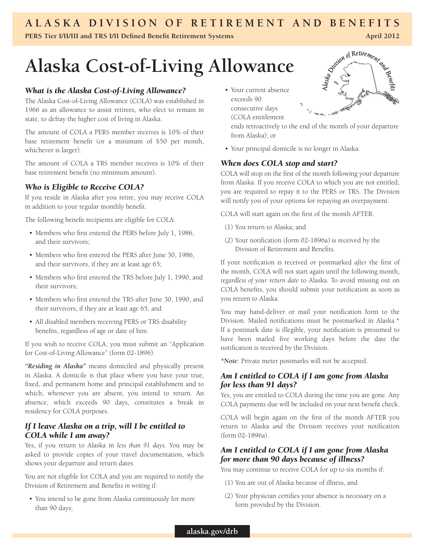# **A l a s k a Division of Reti r ement a n d Benefits**

**PERS** Tier **I/II/III** and TRS **I/II Defined Benefit Retirement Systems April 2012**<br> **Alaska Cost-of-Living Allowance**  $\int_{S^3}$   $\int_{S^4}$   $\int_{S^5}$   $\int_{S^6}$   $\int_{S^6}$   $\int_{S^6}$   $\int_{S^6}$   $\int_{S^6}$   $\int_{S^6}$   $\int_{S^6}$  **Alaska Cost-of-Living Allowance**

# *What is the Alaska Cost-of-Living Allowance?*

The Alaska Cost-of-Living Allowance (COLA) was established in 1966 as an allowance to assist retirees, who elect to remain in state, to defray the higher cost of living in Alaska.

The amount of COLA a PERS member receives is 10% of their base retirement benefit (or a minimum of \$50 per month, whichever is larger).

The amount of COLA a TRS member receives is 10% of their base retirement benefit (no minimum amount).

# *Who is Eligible to Receive COLA?*

If you reside in Alaska after you retire, you may receive COLA in addition to your regular monthly benefit.

The following benefit recipients are eligible for COLA:

- Members who first entered the PERS before July 1, 1986, and their survivors;
- Members who first entered the PERS after June 30, 1986, and their survivors, if they are at least age 65;
- Members who first entered the TRS before July 1, 1990, and their survivors;
- Members who first entered the TRS after June 30, 1990, and their survivors, if they are at least age 65; and
- All disabled members receiving PERS or TRS disability benefits, regardless of age or date of hire.

If you wish to receive COLA, you must submit an "Application for Cost-of-Living Allowance" (form 02-1896).

*"Residing in Alaska"* means domiciled and physically present in Alaska. A domicile is that place where you have your true, fixed, and permanent home and principal establishment and to which, whenever you are absent, you intend to return. An absence, which exceeds 90 days, constitutes a break in residency for COLA purposes.

# *If I leave Alaska on a trip, will I be entitled to COLA while I am away?*

Yes, if you return to Alaska in *less than 91 days.* You may be asked to provide copies of your travel documentation, which shows your departure and return dates.

You are not eligible for COLA and you are required to notify the Division of Retirement and Benefits *in writing* if:

• You intend to be gone from Alaska continuously for more than 90 days;

• Your current absence exceeds 90 consecutive days (COLA entitlement ends retroactively to the end of the month of your departure



- from Alaska); or
- • Your principal domicile is no longer in Alaska.

#### *When does COLA stop and start?*

COLA will stop on the first of the month following your departure from Alaska. If you receive COLA to which you are not entitled, you are required to repay it to the PERS or TRS. The Division will notify you of your options for repaying an overpayment.

COLA will start again on the first of the month AFTER:

- (1) You return to Alaska; and
- (2) Your notification (form 02-1896a) is received by the Division of Retirement and Benefits.

If your notification is received or postmarked *after* the first of the month, COLA will not start again until the following month, *regardless of your return date* to Alaska. To avoid missing out on COLA benefits, you should submit your notification as soon as you return to Alaska.

You may hand-deliver or mail your notification form to the Division. Mailed notifications must be postmarked in Alaska.\* If a postmark date is illegible, your notification is presumed to have been mailed five working days before the date the notification is received by the Division.

*\*Note*: Private meter postmarks will not be accepted.

#### *Am I entitled to COLA if I am gone from Alaska for less than 91 days?*

Yes, you are entitled to COLA during the time you are gone. Any COLA payments due will be included on your next benefit check.

COLA will begin again on the first of the month AFTER you return to Alaska *and* the Division receives your notification (form 02-1896a).

# *Am I entitled to COLA if I am gone from Alaska for more than 90 days because of illness?*

You may continue to receive COLA for up to six months if:

- (1) You are out of Alaska because of illness, and
- (2) Your physician certifies your absence is necessary on a form provided by the Division.